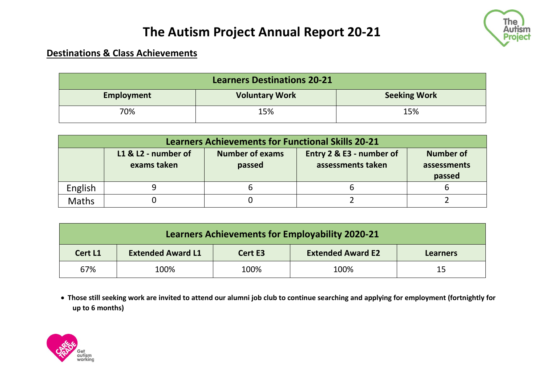

### **Destinations & Class Achievements**

| <b>Learners Destinations 20-21</b> |                       |                     |  |  |  |  |
|------------------------------------|-----------------------|---------------------|--|--|--|--|
| <b>Employment</b>                  | <b>Voluntary Work</b> | <b>Seeking Work</b> |  |  |  |  |
| 70%                                | 15%                   | 15%                 |  |  |  |  |

| <b>Learners Achievements for Functional Skills 20-21</b> |                                    |                                  |                                               |                                           |  |  |  |
|----------------------------------------------------------|------------------------------------|----------------------------------|-----------------------------------------------|-------------------------------------------|--|--|--|
|                                                          | L1 & L2 - number of<br>exams taken | <b>Number of exams</b><br>passed | Entry 2 & E3 - number of<br>assessments taken | <b>Number of</b><br>assessments<br>passed |  |  |  |
| English                                                  |                                    |                                  |                                               |                                           |  |  |  |
| <b>Maths</b>                                             |                                    |                                  |                                               |                                           |  |  |  |

| <b>Learners Achievements for Employability 2020-21</b> |                          |         |                          |                 |  |  |
|--------------------------------------------------------|--------------------------|---------|--------------------------|-----------------|--|--|
| Cert L1                                                | <b>Extended Award L1</b> | Cert E3 | <b>Extended Award E2</b> | <b>Learners</b> |  |  |
| 67%                                                    | 100%                     | 100%    | 100%                     | 15              |  |  |

• **Those still seeking work are invited to attend our alumni job club to continue searching and applying for employment (fortnightly for up to 6 months)**

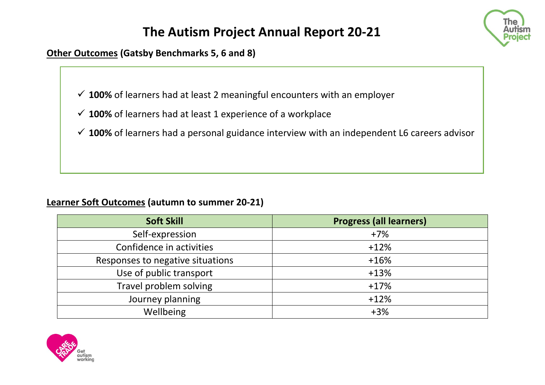

**Other Outcomes (Gatsby Benchmarks 5, 6 and 8)**

✓ **100%** of learners had at least 2 meaningful encounters with an employer

- ✓ **100%** of learners had at least 1 experience of a workplace
- ✓ **100%** of learners had a personal guidance interview with an independent L6 careers advisor

#### **Learner Soft Outcomes (autumn to summer 20-21)**

| <b>Soft Skill</b>                | <b>Progress (all learners)</b> |
|----------------------------------|--------------------------------|
| Self-expression                  | $+7%$                          |
| Confidence in activities         | $+12%$                         |
| Responses to negative situations | $+16%$                         |
| Use of public transport          | $+13%$                         |
| Travel problem solving           | $+17%$                         |
| Journey planning                 | $+12%$                         |
| Wellbeing                        | $+3%$                          |

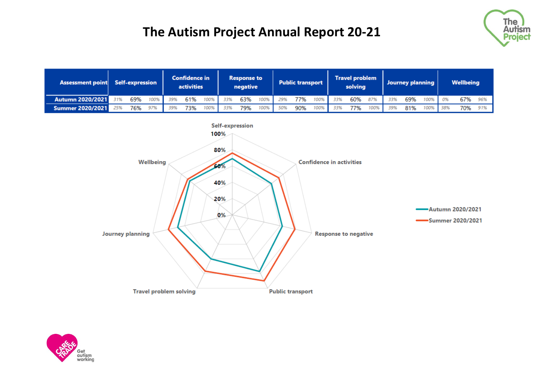

| Assessment point Self-expression |     |  | <b>Confidence in</b><br>activities                                                  | <b>Response to</b><br>negative |  | <b>Public transport</b> |          | <b>Travel problem</b><br>solving |  | Journey planning |  | Wellbeing |  |  |                                                |  |
|----------------------------------|-----|--|-------------------------------------------------------------------------------------|--------------------------------|--|-------------------------|----------|----------------------------------|--|------------------|--|-----------|--|--|------------------------------------------------|--|
| <b>Autumn 2020/2021</b>          | 31% |  | 69% 100% 39% 61% 100% 33% 63% 100% 29% 77% 100% 33% 60% 87% 33% 69% 100% 0% 67% 96% |                                |  |                         |          |                                  |  |                  |  |           |  |  |                                                |  |
| Summer 2020/2021 25%             |     |  | 76% 97% 39% 73% 100% 33% 79%                                                        |                                |  |                         | 100% 50% |                                  |  |                  |  |           |  |  | 90% 100% 33% 77% 100% 39% 81% 100% 38% 70% 91% |  |



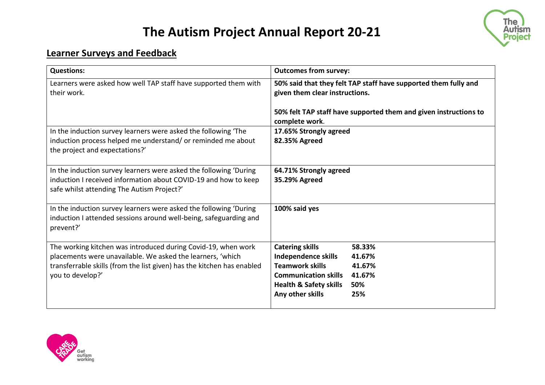

### **Learner Surveys and Feedback**

| <b>Questions:</b>                                                                                                                                                                                                         | <b>Outcomes from survey:</b>                                                                                                                                                                                                 |
|---------------------------------------------------------------------------------------------------------------------------------------------------------------------------------------------------------------------------|------------------------------------------------------------------------------------------------------------------------------------------------------------------------------------------------------------------------------|
| Learners were asked how well TAP staff have supported them with<br>their work.                                                                                                                                            | 50% said that they felt TAP staff have supported them fully and<br>given them clear instructions.                                                                                                                            |
|                                                                                                                                                                                                                           | 50% felt TAP staff have supported them and given instructions to<br>complete work.                                                                                                                                           |
| In the induction survey learners were asked the following 'The<br>induction process helped me understand/ or reminded me about<br>the project and expectations?'                                                          | 17.65% Strongly agreed<br>82.35% Agreed                                                                                                                                                                                      |
| In the induction survey learners were asked the following 'During<br>induction I received information about COVID-19 and how to keep<br>safe whilst attending The Autism Project?'                                        | 64.71% Strongly agreed<br>35.29% Agreed                                                                                                                                                                                      |
| In the induction survey learners were asked the following 'During<br>induction I attended sessions around well-being, safeguarding and<br>prevent?'                                                                       | 100% said yes                                                                                                                                                                                                                |
| The working kitchen was introduced during Covid-19, when work<br>placements were unavailable. We asked the learners, 'which<br>transferrable skills (from the list given) has the kitchen has enabled<br>you to develop?' | <b>Catering skills</b><br>58.33%<br><b>Independence skills</b><br>41.67%<br><b>Teamwork skills</b><br>41.67%<br><b>Communication skills</b><br>41.67%<br><b>Health &amp; Safety skills</b><br>50%<br>Any other skills<br>25% |

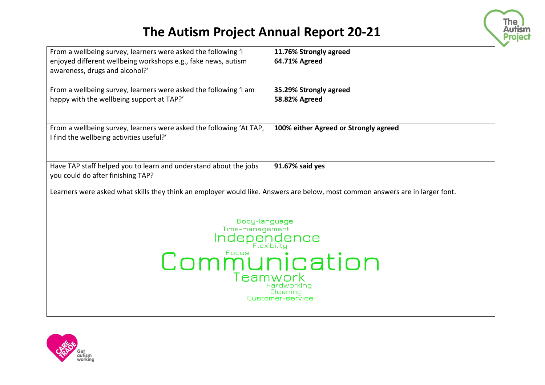

| From a wellbeing survey, learners were asked the following 'I                                                                 | 11.76% Strongly agreed                |  |  |  |  |
|-------------------------------------------------------------------------------------------------------------------------------|---------------------------------------|--|--|--|--|
| enjoyed different wellbeing workshops e.g., fake news, autism                                                                 | 64.71% Agreed                         |  |  |  |  |
| awareness, drugs and alcohol?'                                                                                                |                                       |  |  |  |  |
|                                                                                                                               |                                       |  |  |  |  |
| From a wellbeing survey, learners were asked the following 'I am                                                              | 35.29% Strongly agreed                |  |  |  |  |
| happy with the wellbeing support at TAP?'                                                                                     | 58.82% Agreed                         |  |  |  |  |
|                                                                                                                               |                                       |  |  |  |  |
| From a wellbeing survey, learners were asked the following 'At TAP,                                                           | 100% either Agreed or Strongly agreed |  |  |  |  |
| I find the wellbeing activities useful?'                                                                                      |                                       |  |  |  |  |
|                                                                                                                               |                                       |  |  |  |  |
|                                                                                                                               |                                       |  |  |  |  |
| Have TAP staff helped you to learn and understand about the jobs                                                              | 91.67% said yes                       |  |  |  |  |
| you could do after finishing TAP?                                                                                             |                                       |  |  |  |  |
| Learners were asked what skills they think an employer would like. Answers are below, most common answers are in larger font. |                                       |  |  |  |  |
|                                                                                                                               |                                       |  |  |  |  |
|                                                                                                                               |                                       |  |  |  |  |
| Body-language                                                                                                                 |                                       |  |  |  |  |
| Time-management                                                                                                               |                                       |  |  |  |  |
| Independence                                                                                                                  |                                       |  |  |  |  |
| Flexibility                                                                                                                   |                                       |  |  |  |  |
| mmunication                                                                                                                   |                                       |  |  |  |  |
|                                                                                                                               |                                       |  |  |  |  |
| Hardworking                                                                                                                   |                                       |  |  |  |  |
| Cleaning<br>Customer-service                                                                                                  |                                       |  |  |  |  |
|                                                                                                                               |                                       |  |  |  |  |
|                                                                                                                               |                                       |  |  |  |  |

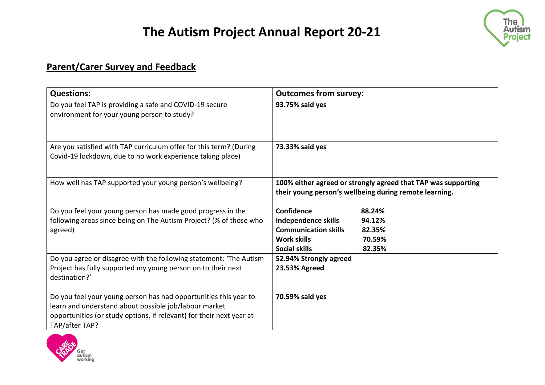

### **Parent/Carer Survey and Feedback**

| <b>Questions:</b>                                                                                                                                                                                                   | <b>Outcomes from survey:</b>                                                                                                                                            |
|---------------------------------------------------------------------------------------------------------------------------------------------------------------------------------------------------------------------|-------------------------------------------------------------------------------------------------------------------------------------------------------------------------|
| Do you feel TAP is providing a safe and COVID-19 secure<br>environment for your young person to study?                                                                                                              | 93.75% said yes                                                                                                                                                         |
| Are you satisfied with TAP curriculum offer for this term? (During<br>Covid-19 lockdown, due to no work experience taking place)                                                                                    | 73.33% said yes                                                                                                                                                         |
| How well has TAP supported your young person's wellbeing?                                                                                                                                                           | 100% either agreed or strongly agreed that TAP was supporting<br>their young person's wellbeing during remote learning.                                                 |
| Do you feel your young person has made good progress in the<br>following areas since being on The Autism Project? (% of those who<br>agreed)                                                                        | <b>Confidence</b><br>88.24%<br>Independence skills<br>94.12%<br><b>Communication skills</b><br>82.35%<br><b>Work skills</b><br>70.59%<br><b>Social skills</b><br>82.35% |
| Do you agree or disagree with the following statement: 'The Autism<br>Project has fully supported my young person on to their next<br>destination?'                                                                 | 52.94% Strongly agreed<br>23.53% Agreed                                                                                                                                 |
| Do you feel your young person has had opportunities this year to<br>learn and understand about possible job/labour market<br>opportunities (or study options, if relevant) for their next year at<br>TAP/after TAP? | 70.59% said yes                                                                                                                                                         |